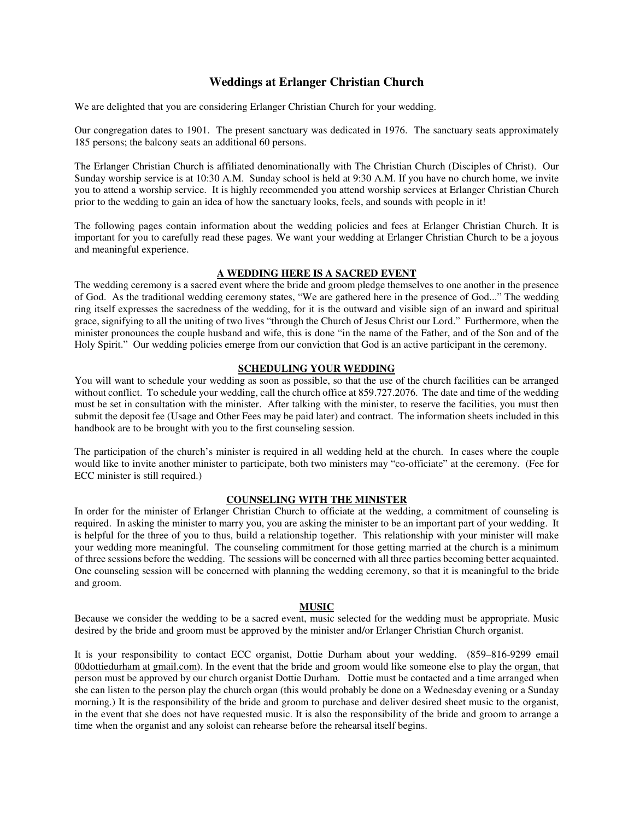# **Weddings at Erlanger Christian Church**

We are delighted that you are considering Erlanger Christian Church for your wedding.

Our congregation dates to 1901. The present sanctuary was dedicated in 1976. The sanctuary seats approximately 185 persons; the balcony seats an additional 60 persons.

The Erlanger Christian Church is affiliated denominationally with The Christian Church (Disciples of Christ). Our Sunday worship service is at 10:30 A.M. Sunday school is held at 9:30 A.M. If you have no church home, we invite you to attend a worship service. It is highly recommended you attend worship services at Erlanger Christian Church prior to the wedding to gain an idea of how the sanctuary looks, feels, and sounds with people in it!

The following pages contain information about the wedding policies and fees at Erlanger Christian Church. It is important for you to carefully read these pages. We want your wedding at Erlanger Christian Church to be a joyous and meaningful experience.

## **A WEDDING HERE IS A SACRED EVENT**

The wedding ceremony is a sacred event where the bride and groom pledge themselves to one another in the presence of God. As the traditional wedding ceremony states, "We are gathered here in the presence of God..." The wedding ring itself expresses the sacredness of the wedding, for it is the outward and visible sign of an inward and spiritual grace, signifying to all the uniting of two lives "through the Church of Jesus Christ our Lord." Furthermore, when the minister pronounces the couple husband and wife, this is done "in the name of the Father, and of the Son and of the Holy Spirit." Our wedding policies emerge from our conviction that God is an active participant in the ceremony.

#### **SCHEDULING YOUR WEDDING**

You will want to schedule your wedding as soon as possible, so that the use of the church facilities can be arranged without conflict. To schedule your wedding, call the church office at 859.727.2076. The date and time of the wedding must be set in consultation with the minister. After talking with the minister, to reserve the facilities, you must then submit the deposit fee (Usage and Other Fees may be paid later) and contract. The information sheets included in this handbook are to be brought with you to the first counseling session.

The participation of the church's minister is required in all wedding held at the church. In cases where the couple would like to invite another minister to participate, both two ministers may "co-officiate" at the ceremony. (Fee for ECC minister is still required.)

## **COUNSELING WITH THE MINISTER**

In order for the minister of Erlanger Christian Church to officiate at the wedding, a commitment of counseling is required. In asking the minister to marry you, you are asking the minister to be an important part of your wedding. It is helpful for the three of you to thus, build a relationship together. This relationship with your minister will make your wedding more meaningful. The counseling commitment for those getting married at the church is a minimum of three sessions before the wedding. The sessions will be concerned with all three parties becoming better acquainted. One counseling session will be concerned with planning the wedding ceremony, so that it is meaningful to the bride and groom.

#### **MUSIC**

Because we consider the wedding to be a sacred event, music selected for the wedding must be appropriate. Music desired by the bride and groom must be approved by the minister and/or Erlanger Christian Church organist.

It is your responsibility to contact ECC organist, Dottie Durham about your wedding. (859–816-9299 email 00dottiedurham at gmail.com). In the event that the bride and groom would like someone else to play the organ, that person must be approved by our church organist Dottie Durham. Dottie must be contacted and a time arranged when she can listen to the person play the church organ (this would probably be done on a Wednesday evening or a Sunday morning.) It is the responsibility of the bride and groom to purchase and deliver desired sheet music to the organist, in the event that she does not have requested music. It is also the responsibility of the bride and groom to arrange a time when the organist and any soloist can rehearse before the rehearsal itself begins.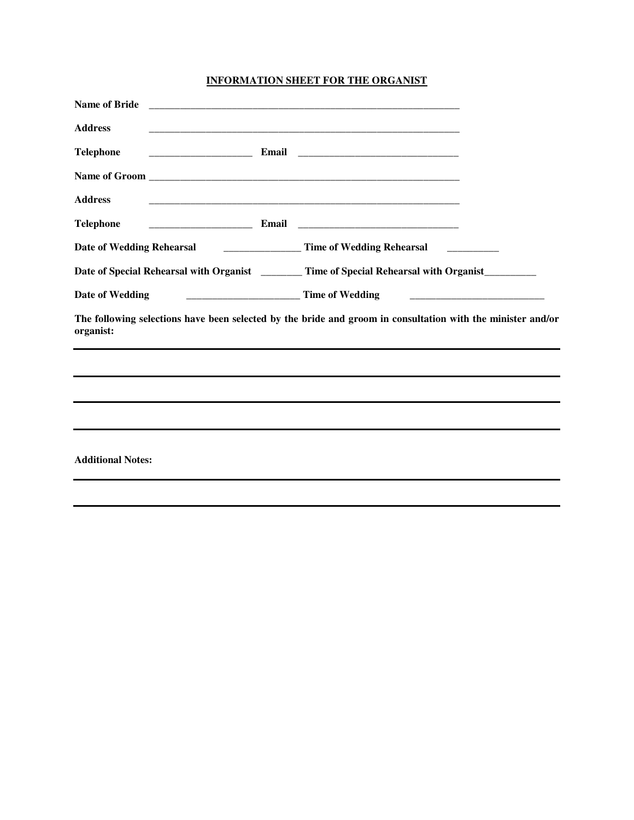## **INFORMATION SHEET FOR THE ORGANIST**

| <b>Name of Bride</b>               |                                                                                                                                                                                                                                      |
|------------------------------------|--------------------------------------------------------------------------------------------------------------------------------------------------------------------------------------------------------------------------------------|
| <b>Address</b>                     |                                                                                                                                                                                                                                      |
| <b>Telephone</b>                   |                                                                                                                                                                                                                                      |
|                                    |                                                                                                                                                                                                                                      |
| <b>Address</b>                     |                                                                                                                                                                                                                                      |
| <b>Telephone</b>                   |                                                                                                                                                                                                                                      |
|                                    | Date of Wedding Rehearsal <b>Exercise 2 and Series 2 and Series 2 and Series 2 and Series 2 and Series 2 and Series 2 and Series 2 and Series 2 and Series 2 and Series 2 and Series 2 and Series 2 and Series 2 and Series 2 an</b> |
|                                    | Date of Special Rehearsal with Organist ___________ Time of Special Rehearsal with Organist__________                                                                                                                                |
| Time of Wedding<br>Date of Wedding |                                                                                                                                                                                                                                      |
| organist:                          | The following selections have been selected by the bride and groom in consultation with the minister and/or                                                                                                                          |
|                                    |                                                                                                                                                                                                                                      |
|                                    |                                                                                                                                                                                                                                      |
|                                    |                                                                                                                                                                                                                                      |
|                                    |                                                                                                                                                                                                                                      |
| <b>Additional Notes:</b>           |                                                                                                                                                                                                                                      |
|                                    |                                                                                                                                                                                                                                      |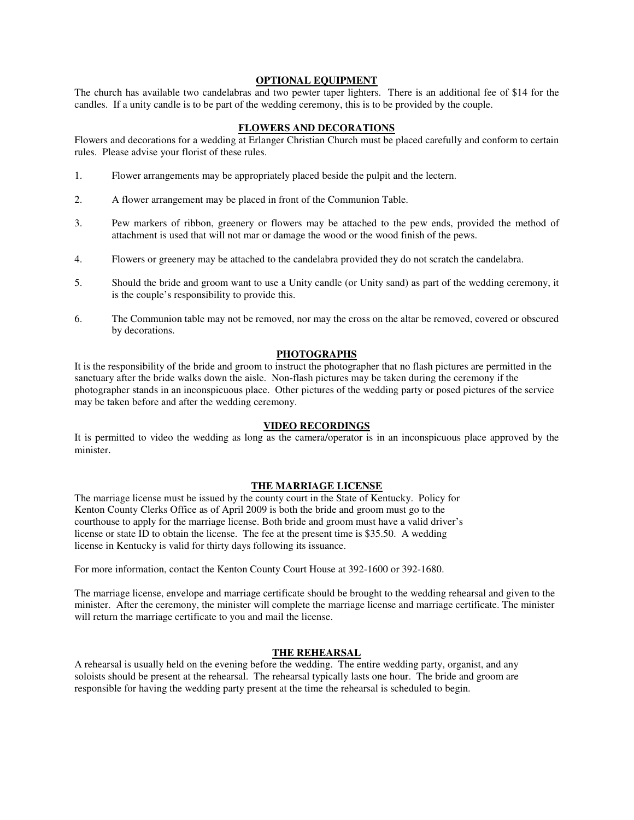#### **OPTIONAL EQUIPMENT**

The church has available two candelabras and two pewter taper lighters. There is an additional fee of \$14 for the candles. If a unity candle is to be part of the wedding ceremony, this is to be provided by the couple.

## **FLOWERS AND DECORATIONS**

Flowers and decorations for a wedding at Erlanger Christian Church must be placed carefully and conform to certain rules. Please advise your florist of these rules.

- 1. Flower arrangements may be appropriately placed beside the pulpit and the lectern.
- 2. A flower arrangement may be placed in front of the Communion Table.
- 3. Pew markers of ribbon, greenery or flowers may be attached to the pew ends, provided the method of attachment is used that will not mar or damage the wood or the wood finish of the pews.
- 4. Flowers or greenery may be attached to the candelabra provided they do not scratch the candelabra.
- 5. Should the bride and groom want to use a Unity candle (or Unity sand) as part of the wedding ceremony, it is the couple's responsibility to provide this.
- 6. The Communion table may not be removed, nor may the cross on the altar be removed, covered or obscured by decorations.

#### **PHOTOGRAPHS**

It is the responsibility of the bride and groom to instruct the photographer that no flash pictures are permitted in the sanctuary after the bride walks down the aisle. Non-flash pictures may be taken during the ceremony if the photographer stands in an inconspicuous place. Other pictures of the wedding party or posed pictures of the service may be taken before and after the wedding ceremony.

#### **VIDEO RECORDINGS**

It is permitted to video the wedding as long as the camera/operator is in an inconspicuous place approved by the minister.

#### **THE MARRIAGE LICENSE**

The marriage license must be issued by the county court in the State of Kentucky. Policy for Kenton County Clerks Office as of April 2009 is both the bride and groom must go to the courthouse to apply for the marriage license. Both bride and groom must have a valid driver's license or state ID to obtain the license. The fee at the present time is \$35.50. A wedding license in Kentucky is valid for thirty days following its issuance.

For more information, contact the Kenton County Court House at 392-1600 or 392-1680.

The marriage license, envelope and marriage certificate should be brought to the wedding rehearsal and given to the minister. After the ceremony, the minister will complete the marriage license and marriage certificate. The minister will return the marriage certificate to you and mail the license.

#### **THE REHEARSAL**

A rehearsal is usually held on the evening before the wedding. The entire wedding party, organist, and any soloists should be present at the rehearsal. The rehearsal typically lasts one hour. The bride and groom are responsible for having the wedding party present at the time the rehearsal is scheduled to begin.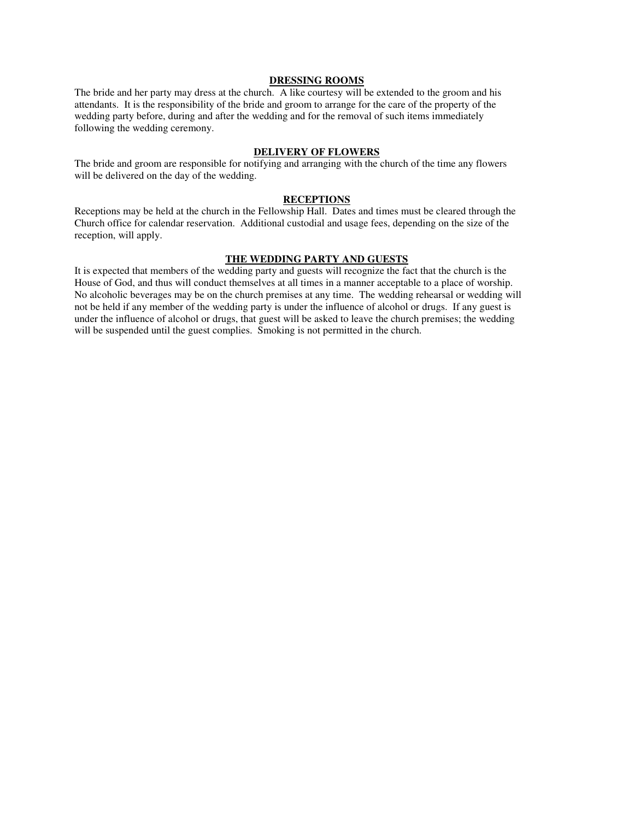#### **DRESSING ROOMS**

The bride and her party may dress at the church. A like courtesy will be extended to the groom and his attendants. It is the responsibility of the bride and groom to arrange for the care of the property of the wedding party before, during and after the wedding and for the removal of such items immediately following the wedding ceremony.

#### **DELIVERY OF FLOWERS**

The bride and groom are responsible for notifying and arranging with the church of the time any flowers will be delivered on the day of the wedding.

## **RECEPTIONS**

Receptions may be held at the church in the Fellowship Hall. Dates and times must be cleared through the Church office for calendar reservation. Additional custodial and usage fees, depending on the size of the reception, will apply.

#### **THE WEDDING PARTY AND GUESTS**

It is expected that members of the wedding party and guests will recognize the fact that the church is the House of God, and thus will conduct themselves at all times in a manner acceptable to a place of worship. No alcoholic beverages may be on the church premises at any time. The wedding rehearsal or wedding will not be held if any member of the wedding party is under the influence of alcohol or drugs. If any guest is under the influence of alcohol or drugs, that guest will be asked to leave the church premises; the wedding will be suspended until the guest complies. Smoking is not permitted in the church.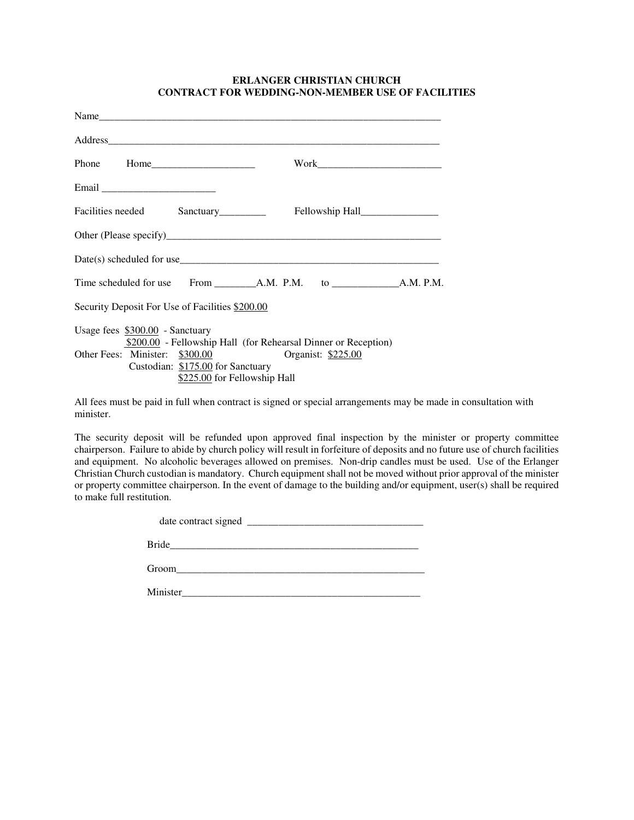## **ERLANGER CHRISTIAN CHURCH CONTRACT FOR WEDDING-NON-MEMBER USE OF FACILITIES**

| Name                                                                                                                                                                                        |
|---------------------------------------------------------------------------------------------------------------------------------------------------------------------------------------------|
|                                                                                                                                                                                             |
| Phone Home                                                                                                                                                                                  |
|                                                                                                                                                                                             |
| Facilities needed Sanctuary                                                                                                                                                                 |
|                                                                                                                                                                                             |
| $Date(s)$ scheduled for use                                                                                                                                                                 |
|                                                                                                                                                                                             |
| Security Deposit For Use of Facilities \$200.00                                                                                                                                             |
| Usage fees $$300.00$ - Sanctuary                                                                                                                                                            |
|                                                                                                                                                                                             |
|                                                                                                                                                                                             |
|                                                                                                                                                                                             |
| \$200.00 - Fellowship Hall (for Rehearsal Dinner or Reception)<br>Other Fees: Minister: \$300.00<br>Organist: \$225.00<br>Custodian: \$175.00 for Sanctuary<br>\$225.00 for Fellowship Hall |

All fees must be paid in full when contract is signed or special arrangements may be made in consultation with minister.

The security deposit will be refunded upon approved final inspection by the minister or property committee chairperson. Failure to abide by church policy will result in forfeiture of deposits and no future use of church facilities and equipment. No alcoholic beverages allowed on premises. Non-drip candles must be used. Use of the Erlanger Christian Church custodian is mandatory. Church equipment shall not be moved without prior approval of the minister or property committee chairperson. In the event of damage to the building and/or equipment, user(s) shall be required to make full restitution.

| date contract signed |  |
|----------------------|--|
| <b>Bride</b>         |  |
| Groom                |  |

Minister\_\_\_\_\_\_\_\_\_\_\_\_\_\_\_\_\_\_\_\_\_\_\_\_\_\_\_\_\_\_\_\_\_\_\_\_\_\_\_\_\_\_\_\_\_\_